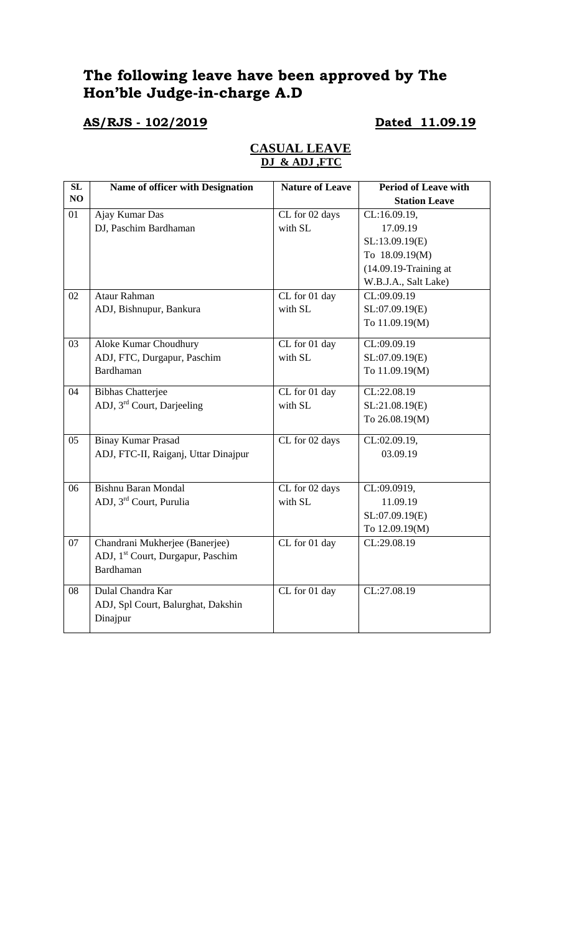## **The following leave have been approved by The Hon'ble Judge-in-charge A.D**

## **AS/RJS - 102/2019 Dated 11.09.19**

### **CASUAL LEAVE DJ & ADJ ,FTC**

| SL | <b>Name of officer with Designation</b>       | <b>Nature of Leave</b> | <b>Period of Leave with</b> |
|----|-----------------------------------------------|------------------------|-----------------------------|
| NO |                                               |                        | <b>Station Leave</b>        |
| 01 | Ajay Kumar Das                                | CL for 02 days         | CL:16.09.19,                |
|    | DJ, Paschim Bardhaman                         | with SL                | 17.09.19                    |
|    |                                               |                        | SL:13.09.19(E)              |
|    |                                               |                        | To 18.09.19(M)              |
|    |                                               |                        | $(14.09.19 - Training at$   |
|    |                                               |                        | W.B.J.A., Salt Lake)        |
| 02 | Ataur Rahman                                  | CL for 01 day          | CL:09.09.19                 |
|    | ADJ, Bishnupur, Bankura                       | with SL                | SL:07.09.19(E)              |
|    |                                               |                        | To 11.09.19(M)              |
| 03 | Aloke Kumar Choudhury                         | CL for 01 day          | CL:09.09.19                 |
|    | ADJ, FTC, Durgapur, Paschim                   | with SL                | SL:07.09.19(E)              |
|    | Bardhaman                                     |                        | To 11.09.19(M)              |
| 04 | <b>Bibhas Chatterjee</b>                      | CL for 01 day          | CL:22.08.19                 |
|    | ADJ, 3 <sup>rd</sup> Court, Darjeeling        | with SL                | SL:21.08.19(E)              |
|    |                                               |                        | To 26.08.19(M)              |
| 05 | <b>Binay Kumar Prasad</b>                     | CL for 02 days         | CL:02.09.19,                |
|    | ADJ, FTC-II, Raiganj, Uttar Dinajpur          |                        | 03.09.19                    |
|    |                                               |                        |                             |
| 06 | <b>Bishnu Baran Mondal</b>                    | CL for 02 days         | CL:09.0919,                 |
|    | ADJ, 3 <sup>rd</sup> Court, Purulia           | with SL                | 11.09.19                    |
|    |                                               |                        | SL:07.09.19(E)              |
|    |                                               |                        | To 12.09.19(M)              |
| 07 | Chandrani Mukherjee (Banerjee)                | CL for 01 day          | CL:29.08.19                 |
|    | ADJ, 1 <sup>st</sup> Court, Durgapur, Paschim |                        |                             |
|    | Bardhaman                                     |                        |                             |
| 08 | Dulal Chandra Kar                             | CL for 01 day          | CL:27.08.19                 |
|    | ADJ, Spl Court, Balurghat, Dakshin            |                        |                             |
|    | Dinajpur                                      |                        |                             |
|    |                                               |                        |                             |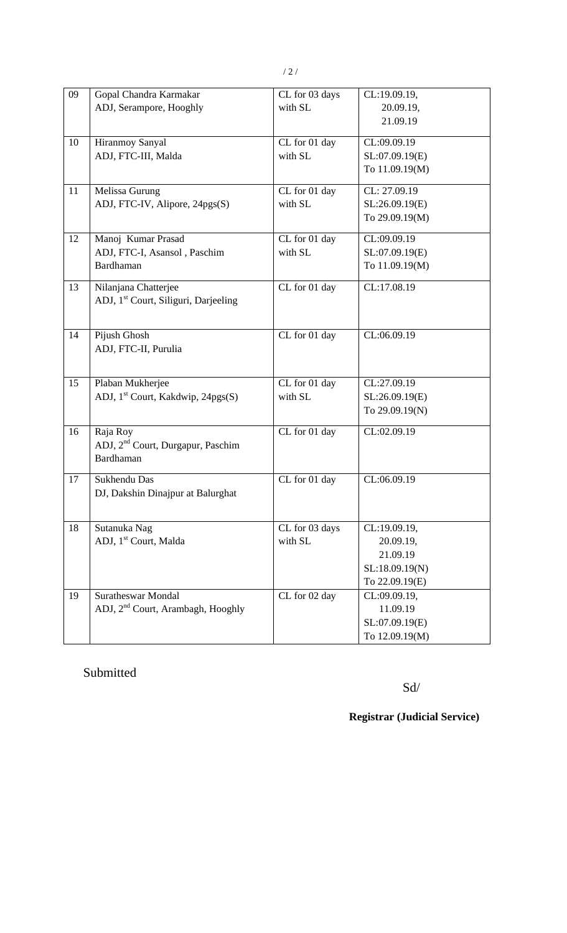| 09 | Gopal Chandra Karmakar                           | CL for 03 days | CL:19.09.19,   |
|----|--------------------------------------------------|----------------|----------------|
|    | ADJ, Serampore, Hooghly                          | with SL        | 20.09.19,      |
|    |                                                  |                | 21.09.19       |
|    |                                                  |                |                |
| 10 | Hiranmoy Sanyal                                  | CL for 01 day  | CL:09.09.19    |
|    | ADJ, FTC-III, Malda                              | with SL        | SL:07.09.19(E) |
|    |                                                  |                | To 11.09.19(M) |
| 11 | Melissa Gurung                                   | CL for 01 day  | CL: 27.09.19   |
|    | ADJ, FTC-IV, Alipore, 24pgs(S)                   | with SL        | SL:26.09.19(E) |
|    |                                                  |                | To 29.09.19(M) |
|    |                                                  |                | CL:09.09.19    |
| 12 | Manoj Kumar Prasad                               | CL for 01 day  |                |
|    | ADJ, FTC-I, Asansol, Paschim                     | with SL        | SL:07.09.19(E) |
|    | <b>Bardhaman</b>                                 |                | To 11.09.19(M) |
| 13 | Nilanjana Chatterjee                             | CL for 01 day  | CL:17.08.19    |
|    | ADJ, 1 <sup>st</sup> Court, Siliguri, Darjeeling |                |                |
|    |                                                  |                |                |
| 14 | Pijush Ghosh                                     | CL for 01 day  | CL:06.09.19    |
|    | ADJ, FTC-II, Purulia                             |                |                |
|    |                                                  |                |                |
|    |                                                  |                |                |
| 15 | Plaban Mukherjee                                 | CL for 01 day  | CL:27.09.19    |
|    | ADJ, 1 <sup>st</sup> Court, Kakdwip, 24pgs(S)    | with SL        | SL:26.09.19(E) |
|    |                                                  |                | To 29.09.19(N) |
| 16 | Raja Roy                                         | CL for 01 day  | CL:02.09.19    |
|    | ADJ, 2 <sup>nd</sup> Court, Durgapur, Paschim    |                |                |
|    | Bardhaman                                        |                |                |
| 17 | Sukhendu Das                                     | CL for 01 day  | CL:06.09.19    |
|    | DJ, Dakshin Dinajpur at Balurghat                |                |                |
|    |                                                  |                |                |
|    |                                                  |                |                |
| 18 | Sutanuka Nag                                     | CL for 03 days | CL:19.09.19,   |
|    | ADJ, 1 <sup>st</sup> Court, Malda                | with SL        | 20.09.19,      |
|    |                                                  |                | 21.09.19       |
|    |                                                  |                | SL:18.09.19(N) |
|    |                                                  |                | To 22.09.19(E) |
| 19 | <b>Suratheswar Mondal</b>                        | CL for 02 day  | CL:09.09.19,   |
|    | ADJ, 2 <sup>nd</sup> Court, Arambagh, Hooghly    |                | 11.09.19       |
|    |                                                  |                | SL:07.09.19(E) |
|    |                                                  |                | To 12.09.19(M) |

# Submitted

Sd/

**Registrar (Judicial Service)**